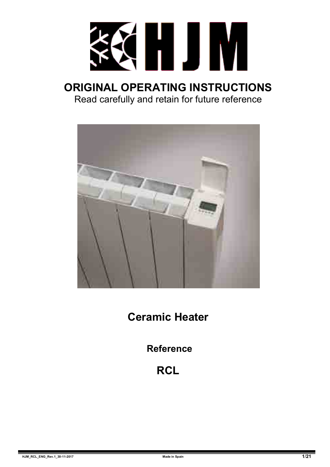

# **ORIGINAL OPERATING INSTRUCTIONS** Read carefully and retain for future reference



**Ceramic Heater**

**Reference**

# **RCL**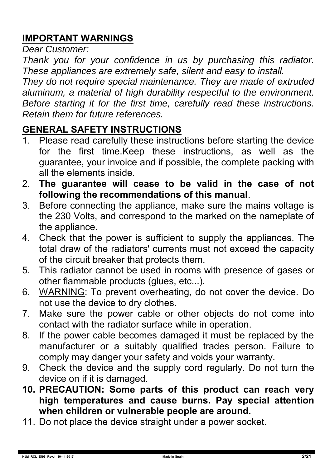# **IMPORTANT WARNINGS**

*Dear Customer:* 

*Thank you for your confidence in us by purchasing this radiator. These appliances are extremely safe, silent and easy to install.* 

*They do not require special maintenance. They are made of extruded aluminum, a material of high durability respectful to the environment. Before starting it for the first time, carefully read these instructions. Retain them for future references.* 

### **GENERAL SAFETY INSTRUCTIONS**

- 1. Please read carefully these instructions before starting the device for the first time.Keep these instructions, as well as the guarantee, your invoice and if possible, the complete packing with all the elements inside.
- 2. **The guarantee will cease to be valid in the case of not following the recommendations of this manual**.
- 3. Before connecting the appliance, make sure the mains voltage is the 230 Volts, and correspond to the marked on the nameplate of the appliance.
- 4. Check that the power is sufficient to supply the appliances. The total draw of the radiators' currents must not exceed the capacity of the circuit breaker that protects them.
- 5. This radiator cannot be used in rooms with presence of gases or other flammable products (glues, etc...).
- 6. WARNING: To prevent overheating, do not cover the device. Do not use the device to dry clothes.
- 7. Make sure the power cable or other objects do not come into contact with the radiator surface while in operation.
- 8. If the power cable becomes damaged it must be replaced by the manufacturer or a suitably qualified trades person. Failure to comply may danger your safety and voids your warranty.
- 9. Check the device and the supply cord regularly. Do not turn the device on if it is damaged.
- **10. PRECAUTION: Some parts of this product can reach very high temperatures and cause burns. Pay special attention when children or vulnerable people are around.**
- 11. Do not place the device straight under a power socket.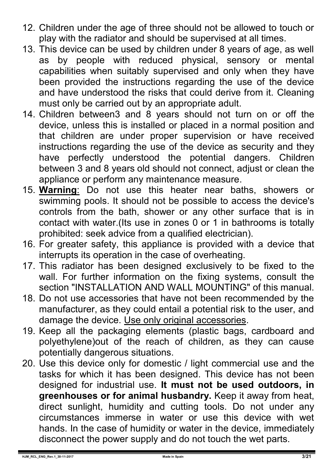- 12. Children under the age of three should not be allowed to touch or play with the radiator and should be supervised at all times.
- 13. This device can be used by children under 8 years of age, as well as by people with reduced physical, sensory or mental capabilities when suitably supervised and only when they have been provided the instructions regarding the use of the device and have understood the risks that could derive from it. Cleaning must only be carried out by an appropriate adult.
- 14. Children between3 and 8 years should not turn on or off the device, unless this is installed or placed in a normal position and that children are under proper supervision or have received instructions regarding the use of the device as security and they have perfectly understood the potential dangers. Children between 3 and 8 years old should not connect, adjust or clean the appliance or perform any maintenance measure.
- 15. **Warning**: Do not use this heater near baths, showers or swimming pools. It should not be possible to access the device's controls from the bath, shower or any other surface that is in contact with water.(Its use in zones 0 or 1 in bathrooms is totally prohibited: seek advice from a qualified electrician).
- 16. For greater safety, this appliance is provided with a device that interrupts its operation in the case of overheating.
- 17. This radiator has been designed exclusively to be fixed to the wall. For further information on the fixing systems, consult the section "INSTALLATION AND WALL MOUNTING" of this manual.
- 18. Do not use accessories that have not been recommended by the manufacturer, as they could entail a potential risk to the user, and damage the device. Use only original accessories.
- 19. Keep all the packaging elements (plastic bags, cardboard and polyethylene)out of the reach of children, as they can cause potentially dangerous situations.
- 20. Use this device only for domestic / light commercial use and the tasks for which it has been designed. This device has not been designed for industrial use. **It must not be used outdoors, in greenhouses or for animal husbandry.** Keep it away from heat, direct sunlight, humidity and cutting tools. Do not under any circumstances immerse in water or use this device with wet hands. In the case of humidity or water in the device, immediately disconnect the power supply and do not touch the wet parts.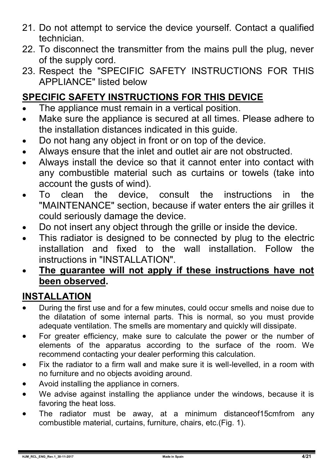- 21. Do not attempt to service the device yourself. Contact a qualified technician.
- 22. To disconnect the transmitter from the mains pull the plug, never of the supply cord.
- 23. Respect the "SPECIFIC SAFETY INSTRUCTIONS FOR THIS APPLIANCE" listed below

# **SPECIFIC SAFETY INSTRUCTIONS FOR THIS DEVICE**

- The appliance must remain in a vertical position.
- Make sure the appliance is secured at all times. Please adhere to the installation distances indicated in this guide.
- Do not hang any object in front or on top of the device.
- Always ensure that the inlet and outlet air are not obstructed.
- Always install the device so that it cannot enter into contact with any combustible material such as curtains or towels (take into account the gusts of wind).
- To clean the device, consult the instructions in the "MAINTENANCE" section, because if water enters the air grilles it could seriously damage the device.
- Do not insert any object through the grille or inside the device.
- This radiator is designed to be connected by plug to the electric installation and fixed to the wall installation. Follow the instructions in "INSTALLATION".
- **The guarantee will not apply if these instructions have not been observed.**

### **INSTALLATION**

- During the first use and for a few minutes, could occur smells and noise due to the dilatation of some internal parts. This is normal, so you must provide adequate ventilation. The smells are momentary and quickly will dissipate.
- For greater efficiency, make sure to calculate the power or the number of elements of the apparatus according to the surface of the room. We recommend contacting your dealer performing this calculation.
- Fix the radiator to a firm wall and make sure it is well-levelled, in a room with no furniture and no objects avoiding around.
- Avoid installing the appliance in corners.
- We advise against installing the appliance under the windows, because it is favoring the heat loss.
- The radiator must be away, at a minimum distanceof15cmfrom any combustible material, curtains, furniture, chairs, etc.(Fig. 1).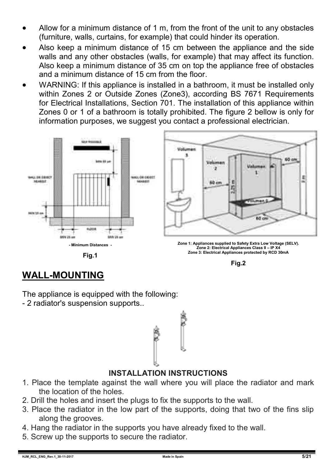- Allow for a minimum distance of 1 m, from the front of the unit to any obstacles (furniture, walls, curtains, for example) that could hinder its operation.
- Also keep a minimum distance of 15 cm between the appliance and the side walls and any other obstacles (walls, for example) that may affect its function. Also keep a minimum distance of 35 cm on top the appliance free of obstacles and a minimum distance of 15 cm from the floor.
- WARNING: If this appliance is installed in a bathroom, it must be installed only within Zones 2 or Outside Zones (Zone3), according BS 7671 Requirements for Electrical Installations, Section 701. The installation of this appliance within Zones 0 or 1 of a bathroom is totally prohibited. The figure 2 bellow is only for information purposes, we suggest you contact a professional electrician.



**Fig.1**



# **WALL-MOUNTING**

The appliance is equipped with the following: - 2 radiator's suspension supports..



#### **INSTALLATION INSTRUCTIONS**

- 1. Place the template against the wall where you will place the radiator and mark the location of the holes.
- 2. Drill the holes and insert the plugs to fix the supports to the wall.
- 3. Place the radiator in the low part of the supports, doing that two of the fins slip along the grooves.
- 4. Hang the radiator in the supports you have already fixed to the wall.
- 5. Screw up the supports to secure the radiator.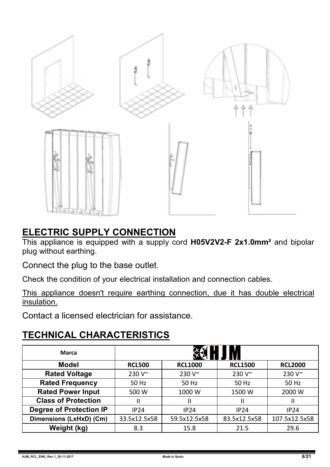

### **ELECTRIC SUPPLY CONNECTION**

This appliance is equipped with a supply cord **H05V2V2-F 2x1.0mm²** and bipolar plug without earthing.

Connect the plug to the base outlet.

Check the condition of your electrical installation and connection cables.

This appliance doesn't require earthing connection, due it has double electrical insulation.

Contact a licensed electrician for assistance.

# **TECHNICAL CHARACTERISTICS**

| Marca                          |                |                |                |                |
|--------------------------------|----------------|----------------|----------------|----------------|
| Model                          | <b>RCL500</b>  | <b>RCL1000</b> | <b>RCL1500</b> | <b>RCL2000</b> |
| <b>Rated Voltage</b>           | 230 $V^{\sim}$ | $230V^{\sim}$  | 230 V~         | 230 V~         |
| <b>Rated Frequency</b>         | 50 Hz          | 50 Hz          | 50 Hz          | 50 Hz          |
| <b>Rated Power Input</b>       | 500 W          | 1000 W         | 1500 W         | 2000 W         |
| <b>Class of Protection</b>     | Ш              | Ш              | Ш              | Ш              |
| <b>Degree of Protection IP</b> | IP24           | IP24           | IP24           | IP24           |
| Dimensions (LxHxD) (Cm)        | 33.5x12.5x58   | 59.5x12.5x58   | 83.5x12.5x58   | 107.5x12.5x58  |
| Weight (kg)                    | 8.3            | 15.8           | 21.5           | 29.6           |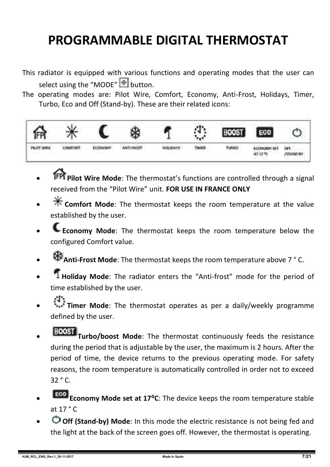# **PROGRAMMABLE DIGITAL THERMOSTAT**

- This radiator is equipped with various functions and operating modes that the user can select using the "MODE"  $\bullet$  button.
- The operating modes are: Pilot Wire, Comfort, Economy, Anti-Frost, Holidays, Timer, Turbo, Eco and Off (Stand-by). These are their related icons:



- **Pilot Wire Mode**: The thermostat's functions are controlled through a signal received from the "Pilot Wire" unit. **FOR USE IN FRANCE ONLY**
- **Comfort Mode**: The thermostat keeps the room temperature at the value established by the user.
- **Economy Mode**: The thermostat keeps the room temperature below the configured Comfort value.
- **Anti-Frost Mode**: The thermostat keeps the room temperature above 7 ° C.
- **Holiday Mode**: The radiator enters the "Anti-frost" mode for the period of time established by the user.
- **Timer Mode**: The thermostat operates as per a daily/weekly programme defined by the user.
- **TOOST** Turbo/boost Mode: The thermostat continuously feeds the resistance during the period that is adjustable by the user, the maximum is 2 hours. After the period of time, the device returns to the previous operating mode. For safety reasons, the room temperature is automatically controlled in order not to exceed 32 ° C.
- **Eco Economy Mode set at 17°C**: The device keeps the room temperature stable at  $17 °C$
- **Off (Stand-by) Mode**: In this mode the electric resistance is not being fed and the light at the back of the screen goes off. However, the thermostat is operating.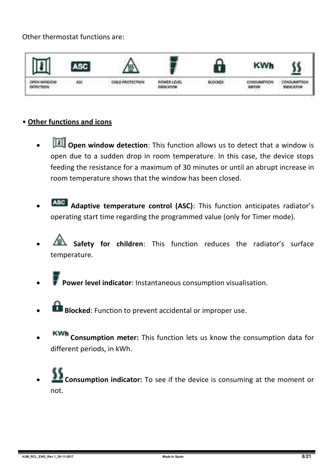#### Other thermostat functions are:



#### • **Other functions and icons**

- **D** Open window detection: This function allows us to detect that a window is open due to a sudden drop in room temperature. In this case, the device stops feeding the resistance for a maximum of 30 minutes or until an abrupt increase in room temperature shows that the window has been closed.
- **Adaptive temperature control (ASC)**: This function anticipates radiator's operating start time regarding the programmed value (only for Timer mode).
- **Safety for children**: This function reduces the radiator's surface temperature.
- **Power level indicator**: Instantaneous consumption visualisation.
- **Blocked:** Function to prevent accidental or improper use.
- **Consumption meter:** This function lets us know the consumption data for different periods, in kWh.
- **Consumption indicator:** To see if the device is consuming at the moment or not.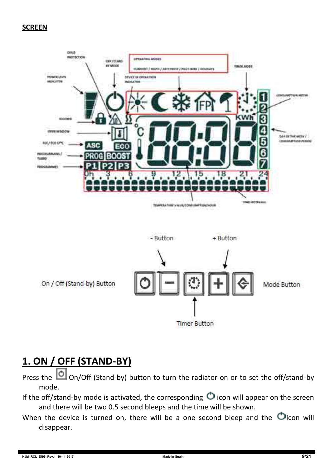#### **SCREEN**



**Timer Button** 

# **1. ON / OFF (STAND-BY)**

Press the  $\Box$  On/Off (Stand-by) button to turn the radiator on or to set the off/stand-by mode.

- If the off/stand-by mode is activated, the corresponding  $\bigcirc$  icon will appear on the screen and there will be two 0.5 second bleeps and the time will be shown.
- When the device is turned on, there will be a one second bleep and the  $\bigcirc$  icon will disappear.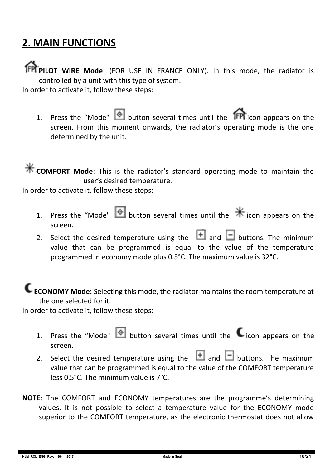# **2. MAIN FUNCTIONS**

**PPI PILOT WIRE Mode:** (FOR USE IN FRANCE ONLY). In this mode, the radiator is controlled by a unit with this type of system.

In order to activate it, follow these steps:

1. Press the "Mode"  $\bullet$  button several times until the **IFPI** icon appears on the screen. From this moment onwards, the radiator's operating mode is the one determined by the unit.

**K** COMFORT Mode: This is the radiator's standard operating mode to maintain the user's desired temperature.

In order to activate it, follow these steps:

- 1. Press the "Mode" **button several times until the**  $*$  **icon appears on the** screen.
- 2. Select the desired temperature using the  $\Box$  and  $\Box$  buttons. The minimum value that can be programmed is equal to the value of the temperature programmed in economy mode plus 0.5°C. The maximum value is 32°C.

**ECONOMY Mode:** Selecting this mode, the radiator maintains the room temperature at the one selected for it.

In order to activate it, follow these steps:

- 1. Press the "Mode"  $\bigcirc$  button several times until the  $\bigcirc$  icon appears on the screen.
- 2. Select the desired temperature using the  $\Box$  and  $\Box$  buttons. The maximum value that can be programmed is equal to the value of the COMFORT temperature less 0.5°C. The minimum value is 7°C.
- **NOTE**: The COMFORT and ECONOMY temperatures are the programme's determining values. It is not possible to select a temperature value for the ECONOMY mode superior to the COMFORT temperature, as the electronic thermostat does not allow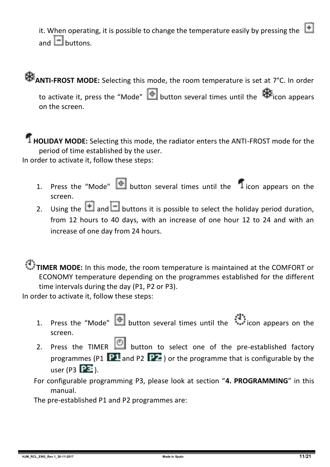it. When operating, it is possible to change the temperature easily by pressing the  $\Box$ and  $\Box$  buttons.

# **ANTI-FROST MODE:** Selecting this mode, the room temperature is set at 7°C. In order

to activate it, press the "Mode"  $\bigcirc$  button several times until the  $\bigcirc$  icon appears on the screen.

#### **HOLIDAY MODE:** Selecting this mode, the radiator enters the ANTI-FROST mode for the period of time established by the user.

In order to activate it, follow these steps:

- 1. Press the "Mode"  $\bigcirc$  button several times until the  $\bigcirc$  icon appears on the screen.
- 2. Using the **and B** buttons it is possible to select the holiday period duration, from 12 hours to 40 days, with an increase of one hour 12 to 24 and with an increase of one day from 24 hours.

# **TIMER MODE:** In this mode, the room temperature is maintained at the COMFORT or ECONOMY temperature depending on the programmes established for the different

time intervals during the day (P1, P2 or P3).

In order to activate it, follow these steps:

- 1. Press the "Mode" button several times until the icon appears on the screen.
- 2. Press the TIMER  $\bigcirc$  button to select one of the pre-established factory programmes (P1  $\overline{P1}$  and P2  $\overline{P2}$ ) or the programme that is configurable by the user (P3  $\overline{PE}$ ).

For configurable programming P3, please look at section "**4. PROGRAMMING**" in this manual.

The pre-established P1 and P2 programmes are: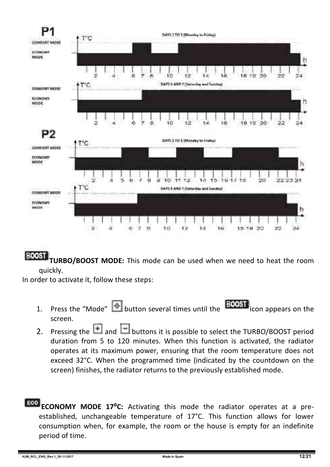

**BOOST TURBO/BOOST MODE:** This mode can be used when we need to heat the room quickly.

In order to activate it, follow these steps:

- 1. Press the "Mode"  $\bigcirc$  button several times until the **BOOST** icon appears on the screen.
- 2. Pressing the  $\Box$  and  $\Box$  buttons it is possible to select the TURBO/BOOST period duration from 5 to 120 minutes. When this function is activated, the radiator operates at its maximum power, ensuring that the room temperature does not exceed 32°C. When the programmed time (indicated by the countdown on the screen) finishes, the radiator returns to the previously established mode.
- **ECONOMY MODE 17°C:** Activating this mode the radiator operates at a preestablished, unchangeable temperature of 17°C. This function allows for lower consumption when, for example, the room or the house is empty for an indefinite period of time.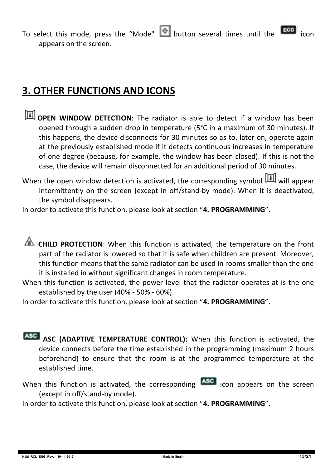To select this mode, press the "Mode"  $\bigcirc$  button several times until the  $\bigcirc$ appears on the screen.

# **3. OTHER FUNCTIONS AND ICONS**

- **TH** OPEN WINDOW DETECTION: The radiator is able to detect if a window has been opened through a sudden drop in temperature (5°C in a maximum of 30 minutes). If this happens, the device disconnects for 30 minutes so as to, later on, operate again at the previously established mode if it detects continuous increases in temperature of one degree (because, for example, the window has been closed). If this is not the case, the device will remain disconnected for an additional period of 30 minutes.
- When the open window detection is activated, the corresponding symbol  $\boxed{1}$  will appear intermittently on the screen (except in off/stand-by mode). When it is deactivated, the symbol disappears.

In order to activate this function, please look at section "**4. PROGRAMMING**".

**CHILD PROTECTION:** When this function is activated, the temperature on the front part of the radiator is lowered so that it is safe when children are present. Moreover, this function means that the same radiator can be used in rooms smaller than the one it is installed in without significant changes in room temperature.

When this function is activated, the power level that the radiator operates at is the one established by the user (40% - 50% - 60%).

In order to activate this function, please look at section "**4. PROGRAMMING**".

- **ASC (ADAPTIVE TEMPERATURE CONTROL):** When this function is activated, the device connects before the time established in the programming (maximum 2 hours beforehand) to ensure that the room is at the programmed temperature at the established time.
- When this function is activated, the corresponding **ASC** icon appears on the screen (except in off/stand-by mode).

In order to activate this function, please look at section "**4. PROGRAMMING**".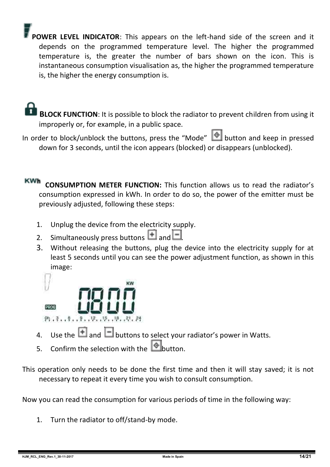**POWER LEVEL INDICATOR**: This appears on the left-hand side of the screen and it depends on the programmed temperature level. The higher the programmed temperature is, the greater the number of bars shown on the icon. This is instantaneous consumption visualisation as, the higher the programmed temperature is, the higher the energy consumption is.

 **BLOCK FUNCTION**: It is possible to block the radiator to prevent children from using it improperly or, for example, in a public space.

In order to block/unblock the buttons, press the "Mode" **Consumersion** and keep in pressed down for 3 seconds, until the icon appears (blocked) or disappears (unblocked).

**KWh CONSUMPTION METER FUNCTION:** This function allows us to read the radiator's consumption expressed in kWh. In order to do so, the power of the emitter must be previously adjusted, following these steps:

- 1. Unplug the device from the electricity supply.
- 2. Simultaneously press buttons  $\overline{+}$  and  $\overline{-}$
- 3. Without releasing the buttons, plug the device into the electricity supply for at least 5 seconds until you can see the power adjustment function, as shown in this image:



- 4. Use the  $\Box$  and  $\Box$  buttons to select your radiator's power in Watts.
- 5. Confirm the selection with the **button**.
- This operation only needs to be done the first time and then it will stay saved; it is not necessary to repeat it every time you wish to consult consumption.

Now you can read the consumption for various periods of time in the following way:

1. Turn the radiator to off/stand-by mode.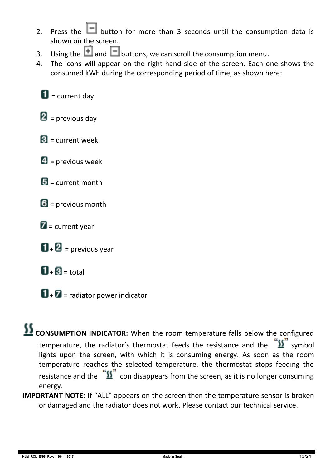- 2. Press the  $\Box$  button for more than 3 seconds until the consumption data is shown on the screen.
- 3. Using the **1** and **b**uttons, we can scroll the consumption menu.<br>4. The icons will annear on the right-hand side of the screen. Each o
- 4. The icons will appear on the right-hand side of the screen. Each one shows the consumed kWh during the corresponding period of time, as shown here:

 $\blacksquare$  = current day

 $\mathbf{2}$  = previous day

- $\overline{\mathbf{R}}$  = current week
- $\blacksquare$  = previous week
- $\mathbf{E}$  = current month
- $6$  = previous month
- $\bar{Z}$  = current year
- $\mathbf{D}$  +  $\mathbf{D}$  = previous year
- $\overline{\mathbf{H}}$  +  $\overline{\mathbf{B}}$  = total
- $\mathbf{u}$  +  $\bar{\mathbf{z}}$  = radiator power indicator

#### **CONSUMPTION INDICATOR:** When the room temperature falls below the configured temperature, the radiator's thermostat feeds the resistance and the  $\frac{\sqrt{3}}{2}$  symbol lights upon the screen, with which it is consuming energy. As soon as the room temperature reaches the selected temperature, the thermostat stops feeding the resistance and the  $\sqrt[12]{\text{}}\,$  icon disappears from the screen, as it is no longer consuming energy.

**IMPORTANT NOTE:** If "ALL" appears on the screen then the temperature sensor is broken or damaged and the radiator does not work. Please contact our technical service.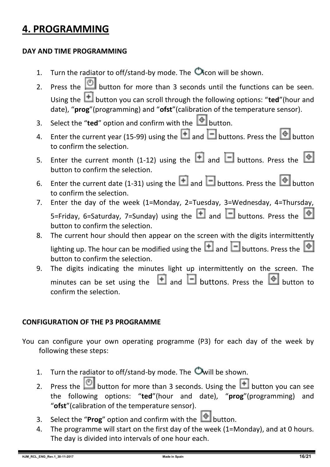# **4. PROGRAMMING**

#### **DAY AND TIME PROGRAMMING**

- 1. Turn the radiator to off/stand-by mode. The  $\bullet$  icon will be shown.
- 2. Press the  $\Box$  button for more than 3 seconds until the functions can be seen. Using the **the button you can scroll through the following options: "ted"**(hour and date), "**prog**"(programming) and "**ofst**"(calibration of the temperature sensor).
- 3. Select the "**ted**" option and confirm with the  $\Box$  button.
- 4. Enter the current year (15-99) using the  $\Box$  and  $\Box$  buttons. Press the  $\degree$  button to confirm the selection.
- 5. Enter the current month (1-12) using the  $\Box$  and  $\Box$  buttons. Press the  $\circ$ button to confirm the selection.
- 6. Enter the current date (1-31) using the  $\Box$  and  $\Box$  buttons. Press the  $\Box$  button to confirm the selection.
- 7. Enter the day of the week (1=Monday, 2=Tuesday, 3=Wednesday, 4=Thursday, 5=Friday, 6=Saturday, 7=Sunday) using the  $\Box$  and  $\Box$  buttons. Press the button to confirm the selection.
- 8. The current hour should then appear on the screen with the digits intermittently lighting up. The hour can be modified using the  $\Box$  and  $\Box$  buttons. Press the  $\Diamond$ button to confirm the selection.
- 9. The digits indicating the minutes light up intermittently on the screen. The minutes can be set using the  $\Box$  and  $\Box$  buttons. Press the  $\Diamond$  button to confirm the selection.

#### **CONFIGURATION OF THE P3 PROGRAMME**

- You can configure your own operating programme (P3) for each day of the week by following these steps:
	- 1. Turn the radiator to off/stand-by mode. The  $\bullet$  will be shown.
	- 2. Press the **button for more than 3 seconds.** Using the **button you can see** the following options: "**ted**"(hour and date), "**prog**"(programming) and "**ofst**"(calibration of the temperature sensor).
	- 3. Select the "**Prog**" option and confirm with the  $\bullet$  button.
	- 4. The programme will start on the first day of the week (1=Monday), and at 0 hours. The day is divided into intervals of one hour each.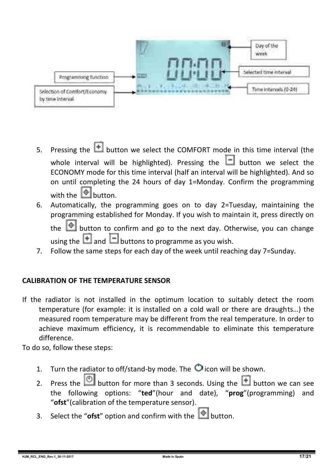

- 5. Pressing the  $\Box$  button we select the COMFORT mode in this time interval (the whole interval will be highlighted). Pressing the  $\Box$  button we select the ECONOMY mode for this time interval (half an interval will be highlighted). And so on until completing the 24 hours of day 1=Monday. Confirm the programming with the  $\Box$  button.
- 6. Automatically, the programming goes on to day 2=Tuesday, maintaining the programming established for Monday. If you wish to maintain it, press directly on the  $\Box$  button to confirm and go to the next day. Otherwise, you can change

using the  $\Box$  and  $\Box$  buttons to programme as you wish.

7. Follow the same steps for each day of the week until reaching day 7=Sunday.

#### **CALIBRATION OF THE TEMPERATURE SENSOR**

If the radiator is not installed in the optimum location to suitably detect the room temperature (for example: it is installed on a cold wall or there are draughts…) the measured room temperature may be different from the real temperature. In order to achieve maximum efficiency, it is recommendable to eliminate this temperature difference.

To do so, follow these steps:

- 1. Turn the radiator to off/stand-by mode. The  $\bullet$  icon will be shown.
- 2. Press the  $\Box$  button for more than 3 seconds. Using the  $\Box$  button we can see the following options: "**ted**"(hour and date), "**prog**"(programming) and "**ofst**"(calibration of the temperature sensor).
- 3. Select the "**ofst**" option and confirm with the  $\Box$  button.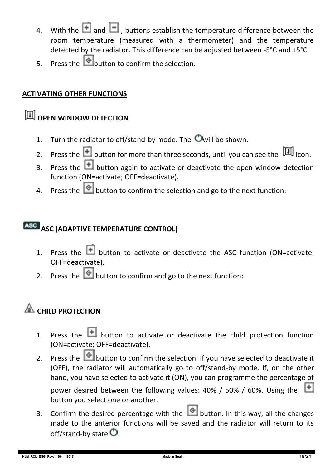- 4. With the  $\blacksquare$  and  $\blacksquare$  , buttons establish the temperature difference between the room temperature (measured with a thermometer) and the temperature detected by the radiator. This difference can be adjusted between -5°C and +5°C.
- $\frac{1}{5}$  Press the **button** to confirm the selection.

#### **ACTIVATING OTHER FUNCTIONS**

# **OPEN WINDOW DETECTION**

- 1. Turn the radiator to off/stand-by mode. The  $\bullet$  will be shown.
- 2. Press the **button for more than three seconds, until you can see the** icon.
- 3. Press the  $\Box$  button again to activate or deactivate the open window detection function (ON=activate; OFF=deactivate).
- 4. Press the **button to confirm the selection and go to the next function:**

#### **ASC (ADAPTIVE TEMPERATURE CONTROL)**

- 1. Press the  $\Box$  button to activate or deactivate the ASC function (ON=activate: OFF=deactivate).
- 2. Press the  $\Box$  button to confirm and go to the next function:

# **EXAMPLE PROTECTION**

- 1. Press the  $\Box$  button to activate or deactivate the child protection function (ON=activate; OFF=deactivate).
- 2. Press the  $\bigcirc$  button to confirm the selection. If you have selected to deactivate it (OFF), the radiator will automatically go to off/stand-by mode. If, on the other hand, you have selected to activate it (ON), you can programme the percentage of

power desired between the following values: 40% / 50% / 60%. Using the button you select one or another.

3. Confirm the desired percentage with the **button.** In this way, all the changes made to the anterior functions will be saved and the radiator will return to its off/stand-by state  $\bullet$ .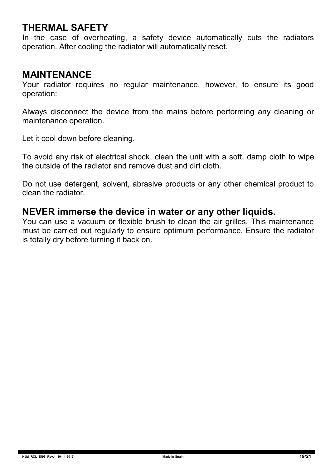#### **THERMAL SAFETY**

In the case of overheating, a safety device automatically cuts the radiators operation. After cooling the radiator will automatically reset.

#### **MAINTENANCE**

Your radiator requires no regular maintenance, however, to ensure its good operation:

Always disconnect the device from the mains before performing any cleaning or maintenance operation.

Let it cool down before cleaning.

To avoid any risk of electrical shock, clean the unit with a soft, damp cloth to wipe the outside of the radiator and remove dust and dirt cloth.

Do not use detergent, solvent, abrasive products or any other chemical product to clean the radiator.

#### **NEVER immerse the device in water or any other liquids.**

You can use a vacuum or flexible brush to clean the air grilles. This maintenance must be carried out regularly to ensure optimum performance. Ensure the radiator is totally dry before turning it back on.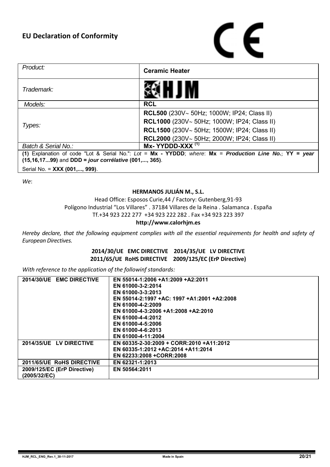# C E

| Product:                                                                                                 | <b>Ceramic Heater</b>                              |  |  |
|----------------------------------------------------------------------------------------------------------|----------------------------------------------------|--|--|
| Trademark:                                                                                               |                                                    |  |  |
| Models:                                                                                                  | <b>RCL</b>                                         |  |  |
|                                                                                                          | <b>RCL500</b> (230V~ 50Hz; 1000W; IP24; Class II)  |  |  |
| Types:                                                                                                   | <b>RCL1000</b> (230V~ 50Hz; 1000W; IP24; Class II) |  |  |
|                                                                                                          | <b>RCL1500</b> (230V~ 50Hz; 1500W; IP24; Class II) |  |  |
|                                                                                                          | <b>RCL2000</b> (230V~ 50Hz: 2000W: IP24: Class II) |  |  |
| Batch & Serial No.:                                                                                      | $Mx - YYDDD-XXX$ <sup>(1)</sup>                    |  |  |
| (1) Explanation of code "Lot & Serial No.": Lot = Mx - YYDDD; where: Mx = Production Line No.; YY = year |                                                    |  |  |
| (15,16,1799) and DDD = jour corrélative (001,, 365).                                                     |                                                    |  |  |
| Serial No. = XXX (001,, 999).                                                                            |                                                    |  |  |

*We*:

#### **HERMANOS JULIÁN M., S.L.**

Head Office: Esposos Curie,44 / Factory: Gutenberg,91-93 Polígono Industrial "Los Villares" . 37184 Villares de la Reina . Salamanca . España Tf.+34 923 222 277 +34 923 222 282 . Fax +34 923 223 397

#### **http://www.calorhjm.es**

Hereby declare, that the following equipment complies with all the essential requirements for health and safety of *European Directives.*

#### **2014/30/UE EMC DIRECTIVE 2014/35/UE LV DIRECTIVE 2011/65/UE RoHS DIRECTIVE 2009/125/EC (ErP Directive)**

*With reference to the application of the followinf standards:*

| 2014/30/UE EMC DIRECTIVE    | EN 55014-1:2006 +A1:2009 +A2:2011           |
|-----------------------------|---------------------------------------------|
|                             | EN 61000-3-2:2014                           |
|                             | EN 61000-3-3:2013                           |
|                             | EN 55014-2:1997 +AC: 1997 +A1:2001 +A2:2008 |
|                             | EN 61000-4-2:2009                           |
|                             | EN 61000-4-3:2006 +A1:2008 +A2:2010         |
|                             | EN 61000-4-4:2012                           |
|                             | EN 61000-4-5:2006                           |
|                             | EN 61000-4-6:2013                           |
|                             | EN 61000-4-11:2004                          |
| 2014/35/UE LV DIRECTIVE     | EN 60335-2-30:2009 + CORR:2010 +A11:2012    |
|                             | EN 60335-1:2012 +AC:2014 +A11:2014          |
|                             | EN 62233:2008 +CORR:2008                    |
| 2011/65/UE RoHS DIRECTIVE   | EN 62321-1:2013                             |
| 2009/125/EC (ErP Directive) | EN 50564:2011                               |
| (2005/32/EC)                |                                             |